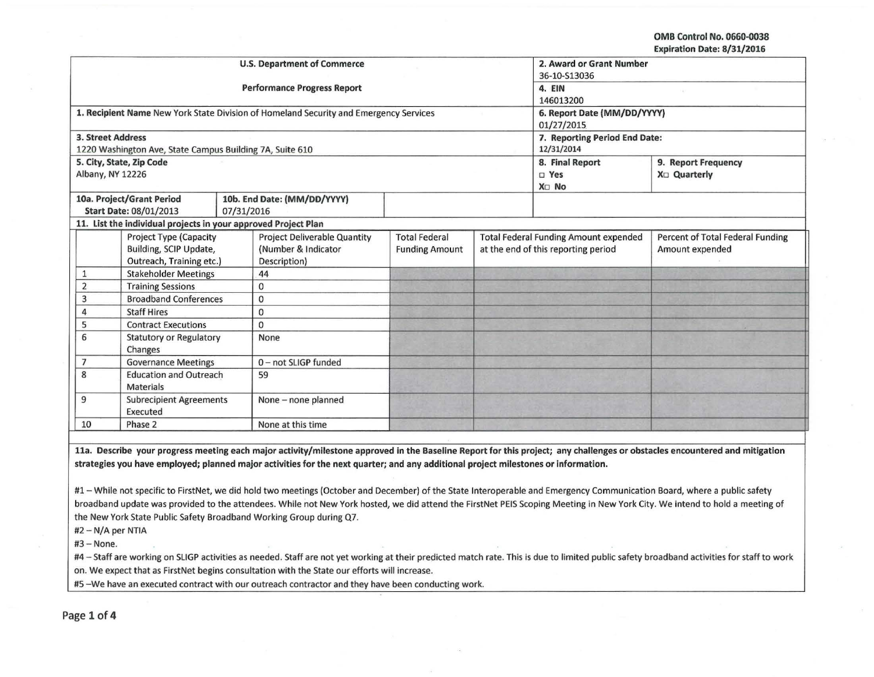OMB Control No. 0660-0038 Expiration Date: 8/31/2016

|                                     |                                                                |                     | <b>U.S. Department of Commerce</b>                                                    | 2. Award or Grant Number    |                                              |                               |                                  |  |
|-------------------------------------|----------------------------------------------------------------|---------------------|---------------------------------------------------------------------------------------|-----------------------------|----------------------------------------------|-------------------------------|----------------------------------|--|
|                                     |                                                                |                     |                                                                                       | 36-10-S13036                |                                              |                               |                                  |  |
|                                     |                                                                |                     | <b>Performance Progress Report</b>                                                    | 4. EIN                      |                                              |                               |                                  |  |
|                                     |                                                                |                     |                                                                                       | 146013200                   |                                              |                               |                                  |  |
|                                     |                                                                |                     | 1. Recipient Name New York State Division of Homeland Security and Emergency Services | 6. Report Date (MM/DD/YYYY) |                                              |                               |                                  |  |
|                                     |                                                                |                     |                                                                                       | 01/27/2015                  |                                              |                               |                                  |  |
| <b>3. Street Address</b>            |                                                                |                     |                                                                                       |                             |                                              | 7. Reporting Period End Date: |                                  |  |
|                                     | 1220 Washington Ave, State Campus Building 7A, Suite 610       |                     |                                                                                       | 12/31/2014                  |                                              |                               |                                  |  |
|                                     | 5. City, State, Zip Code                                       |                     |                                                                                       | 8. Final Report             | 9. Report Frequency                          |                               |                                  |  |
| Albany, NY 12226                    |                                                                |                     |                                                                                       |                             |                                              | $\square$ Yes                 | X <sub>D</sub> Quarterly         |  |
|                                     |                                                                |                     |                                                                                       |                             |                                              | X <sub>D</sub> No             |                                  |  |
|                                     | 10a. Project/Grant Period                                      |                     | 10b. End Date: (MM/DD/YYYY)                                                           |                             |                                              |                               |                                  |  |
|                                     | <b>Start Date: 08/01/2013</b>                                  | 07/31/2016          |                                                                                       |                             |                                              |                               |                                  |  |
|                                     | 11. List the individual projects in your approved Project Plan |                     |                                                                                       |                             |                                              |                               |                                  |  |
|                                     | <b>Project Type (Capacity</b>                                  |                     | <b>Project Deliverable Quantity</b>                                                   | <b>Total Federal</b>        | <b>Total Federal Funding Amount expended</b> |                               | Percent of Total Federal Funding |  |
|                                     | Building, SCIP Update,                                         |                     | (Number & Indicator                                                                   | <b>Funding Amount</b>       | at the end of this reporting period          |                               | Amount expended                  |  |
|                                     | Outreach, Training etc.)                                       |                     | Description)                                                                          |                             |                                              |                               |                                  |  |
| $\mathbf{1}$                        | <b>Stakeholder Meetings</b>                                    |                     | 44                                                                                    |                             |                                              |                               |                                  |  |
| $\overline{2}$                      | <b>Training Sessions</b>                                       |                     | $\mathbf 0$                                                                           |                             |                                              |                               |                                  |  |
| 3                                   | <b>Broadband Conferences</b>                                   |                     | $\mathbf 0$                                                                           |                             |                                              |                               |                                  |  |
| 4                                   | <b>Staff Hires</b>                                             |                     | 0                                                                                     |                             |                                              |                               |                                  |  |
| 5                                   | <b>Contract Executions</b>                                     |                     | $\mathbf 0$                                                                           |                             |                                              |                               |                                  |  |
| 6<br><b>Statutory or Regulatory</b> |                                                                | None                |                                                                                       |                             |                                              |                               |                                  |  |
| Changes                             |                                                                |                     |                                                                                       |                             |                                              |                               |                                  |  |
| $\overline{7}$                      | <b>Governance Meetings</b>                                     |                     | 0-not SLIGP funded                                                                    |                             |                                              |                               |                                  |  |
| 8<br><b>Education and Outreach</b>  |                                                                | 59                  |                                                                                       |                             |                                              |                               |                                  |  |
| <b>Materials</b>                    |                                                                |                     |                                                                                       |                             |                                              |                               |                                  |  |
| 9<br><b>Subrecipient Agreements</b> |                                                                | None - none planned |                                                                                       |                             |                                              |                               |                                  |  |
| Executed                            |                                                                |                     |                                                                                       |                             |                                              |                               |                                  |  |
| 10<br>Phase 2                       |                                                                |                     | None at this time                                                                     |                             |                                              |                               |                                  |  |

lla. Describe your progress meeting each major activity/milestone approved in the Baseline Report for this project; any challenges or obstacles encountered and mitigation strategies you have employed; planned major activities for the next quarter; and any additional project milestones or information.

#1 - While not specific to FirstNet, we did hold two meetings (October and December) of the State Interoperable and Emergency Communication Board, where a public safety broadband update was provided to the attendees. While not New York hosted, we did attend the FirstNet PElS Scoping Meeting in New York City. We intend to hold a meeting of the New York State Public Safety Broadband Working Group during Q7.

#2 - N/A per NTIA

#3 - None.

#4 - Staff are working on SLIGP activities as needed. Staff are not yet working at their predicted match rate. This is due to limited public safety broadband activities for staff to work on. We expect that as FirstNet begins consultation with the State our efforts will increase.

#5 -We have an executed contract with our outreach contractor and they have been conducting work.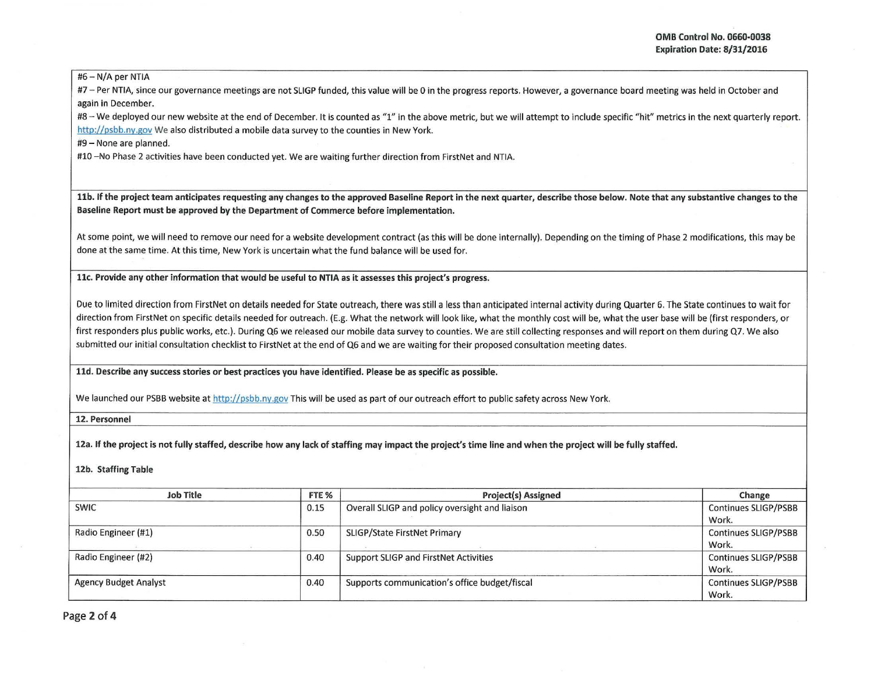#6- N/A per NTIA

#7 - Per NTIA, since our governance meetings are not SLIGP funded, this value will be 0 in the progress reports. However, a governance board meeting was held in October and again in December.

#8 - We deployed our new website at the end of December. It is counted as "1" in the above metric, but we will attempt to include specific "hit" metrics in the next quarterly report. http://psbb.ny.gov We also distributed a mobile data survey to the counties in New York.

#9- None are planned.

#10 -No Phase 2 activities have been conducted yet. We are waiting further direction from FirstNet and NTIA.

llb. If the project team anticipates requesting any changes to the approved Baseline Report in the next quarter, describe those below. Note that any substantive changes to the Baseline Report must be approved by the Department of Commerce before implementation.

At some point, we will need to remove our need for a website development contract (as this will be done internally). Depending on the timing of Phase 2 modifications, this may be done at the same time. At this time, New York is uncertain what the fund balance will be used for.

11c. Provide any other information that would be useful to NTIA as it assesses this project's progress.

Due to limited direction from FirstNet on details needed for State outreach, there was still a less than anticipated internal activity during Quarter 6. The State continues to wait for direction from FirstNet on specific details needed for outreach. (E.g. What the network will look like, what the monthly cost will be, what the user base will be (first responders, or first responders plus public works, etc.). During Q6 we released our mobile data survey to counties. We are still collecting responses and will report on them during Q7. We also submitted our initial consultation checklist to FirstNet at the end of Q6 and we are waiting for their proposed consultation meeting dates.

lld. Describe any success stories or best practices you have identified. Please be as specific as possible.

We launched our PSBB website at http://psbb.ny.gov This will be used as part of our outreach effort to public safety across New York.

12. Personnel

12a. If the project is not fully staffed, describe how any lack of staffing may impact the project's time line and when the project will be fully staffed.

12b. Staffing Table

| <b>Job Title</b>             | FTE % | Project(s) Assigned                            | Change                               |
|------------------------------|-------|------------------------------------------------|--------------------------------------|
| <b>SWIC</b>                  | 0.15  | Overall SLIGP and policy oversight and liaison | Continues SLIGP/PSBB<br>Work.        |
| Radio Engineer (#1)          | 0.50  | <b>SLIGP/State FirstNet Primary</b>            | <b>Continues SLIGP/PSBB</b><br>Work. |
| Radio Engineer (#2)          | 0.40  | Support SLIGP and FirstNet Activities          | <b>Continues SLIGP/PSBB</b><br>Work. |
| <b>Agency Budget Analyst</b> | 0.40  | Supports communication's office budget/fiscal  | <b>Continues SLIGP/PSBB</b><br>Work. |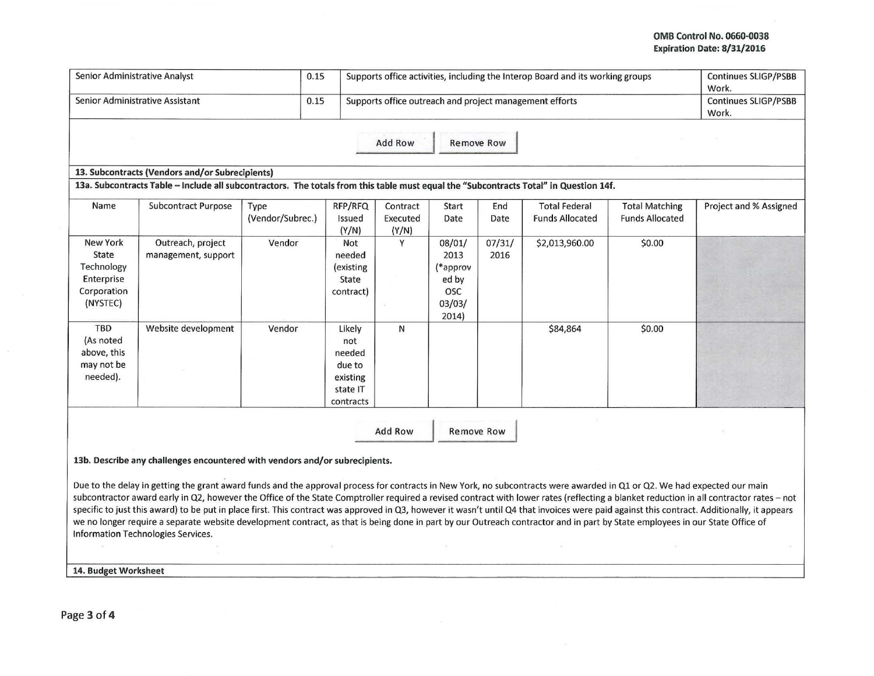## OMB Control No. 0660-0038 Expiration Date: 8/31/2016

| Senior Administrative Analyst                                                   |                                                                                                                                                                                                                                                                                                                                                                                                                                                                                                                                                                                               |                          | 0.15                                                                   | Supports office activities, including the Interop Board and its working groups |                                                                      |                |                                                |                                                 | <b>Continues SLIGP/PSBB</b><br>Work.                                                                                                                                                    |
|---------------------------------------------------------------------------------|-----------------------------------------------------------------------------------------------------------------------------------------------------------------------------------------------------------------------------------------------------------------------------------------------------------------------------------------------------------------------------------------------------------------------------------------------------------------------------------------------------------------------------------------------------------------------------------------------|--------------------------|------------------------------------------------------------------------|--------------------------------------------------------------------------------|----------------------------------------------------------------------|----------------|------------------------------------------------|-------------------------------------------------|-----------------------------------------------------------------------------------------------------------------------------------------------------------------------------------------|
| Senior Administrative Assistant<br>0.15                                         |                                                                                                                                                                                                                                                                                                                                                                                                                                                                                                                                                                                               |                          |                                                                        | Supports office outreach and project management efforts                        | Continues SLIGP/PSBB<br>Work.                                        |                |                                                |                                                 |                                                                                                                                                                                         |
|                                                                                 |                                                                                                                                                                                                                                                                                                                                                                                                                                                                                                                                                                                               |                          |                                                                        | <b>Add Row</b>                                                                 | <b>Remove Row</b>                                                    |                |                                                |                                                 |                                                                                                                                                                                         |
|                                                                                 | 13. Subcontracts (Vendors and/or Subrecipients)                                                                                                                                                                                                                                                                                                                                                                                                                                                                                                                                               |                          |                                                                        |                                                                                |                                                                      |                |                                                |                                                 |                                                                                                                                                                                         |
|                                                                                 | 13a. Subcontracts Table - Include all subcontractors. The totals from this table must equal the "Subcontracts Total" in Question 14f.                                                                                                                                                                                                                                                                                                                                                                                                                                                         |                          |                                                                        |                                                                                |                                                                      |                |                                                |                                                 |                                                                                                                                                                                         |
| Name                                                                            | Subcontract Purpose                                                                                                                                                                                                                                                                                                                                                                                                                                                                                                                                                                           | Type<br>(Vendor/Subrec.) | RFP/RFQ<br>Issued<br>(Y/N)                                             | Contract<br>Executed<br>(Y/N)                                                  | Start<br>Date                                                        | End<br>Date    | <b>Total Federal</b><br><b>Funds Allocated</b> | <b>Total Matching</b><br><b>Funds Allocated</b> | Project and % Assigned                                                                                                                                                                  |
| <b>New York</b><br>State<br>Technology<br>Enterprise<br>Corporation<br>(NYSTEC) | Outreach, project<br>management, support                                                                                                                                                                                                                                                                                                                                                                                                                                                                                                                                                      | Vendor                   | Not<br>needed<br>(existing<br>State<br>contract)                       | Y                                                                              | 08/01/<br>2013<br>(*approv<br>ed by<br><b>OSC</b><br>03/03/<br>2014) | 07/31/<br>2016 | \$2,013,960.00                                 | \$0.00                                          |                                                                                                                                                                                         |
| <b>TBD</b><br>(As noted<br>above, this<br>may not be<br>needed).                | Website development                                                                                                                                                                                                                                                                                                                                                                                                                                                                                                                                                                           | Vendor                   | Likely<br>not<br>needed<br>due to<br>existing<br>state IT<br>contracts | N                                                                              |                                                                      |                | \$84,864                                       | \$0.00                                          |                                                                                                                                                                                         |
|                                                                                 |                                                                                                                                                                                                                                                                                                                                                                                                                                                                                                                                                                                               |                          |                                                                        | <b>Add Row</b>                                                                 | <b>Remove Row</b>                                                    |                |                                                |                                                 |                                                                                                                                                                                         |
|                                                                                 | 13b. Describe any challenges encountered with vendors and/or subrecipients.                                                                                                                                                                                                                                                                                                                                                                                                                                                                                                                   |                          |                                                                        |                                                                                |                                                                      |                |                                                |                                                 |                                                                                                                                                                                         |
|                                                                                 | Due to the delay in getting the grant award funds and the approval process for contracts in New York, no subcontracts were awarded in Q1 or Q2. We had expected our main<br>specific to just this award) to be put in place first. This contract was approved in Q3, however it wasn't until Q4 that invoices were paid against this contract. Additionally, it appears<br>we no longer require a separate website development contract, as that is being done in part by our Outreach contractor and in part by State employees in our State Office of<br>Information Technologies Services. |                          |                                                                        |                                                                                |                                                                      |                |                                                |                                                 | subcontractor award early in Q2, however the Office of the State Comptroller required a revised contract with lower rates (reflecting a blanket reduction in all contractor rates - not |
| 14. Budget Worksheet                                                            |                                                                                                                                                                                                                                                                                                                                                                                                                                                                                                                                                                                               |                          |                                                                        |                                                                                |                                                                      |                |                                                |                                                 |                                                                                                                                                                                         |